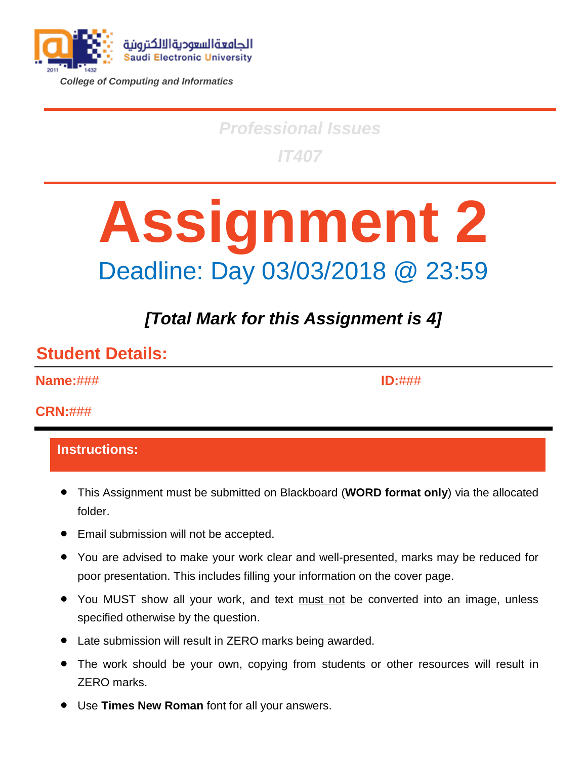

*College of Computing and Informatics*

# *Professional Issues IT407*

# **Assignment 2** Deadline: Day 03/03/2018 @ 23:59

# *[Total Mark for this Assignment is 4]*

#### **Student Details:**

**Name:**###

**ID:**###

#### **CRN:**###

#### **Instructions:**

- This Assignment must be submitted on Blackboard (**WORD format only**) via the allocated folder.
- Email submission will not be accepted.
- You are advised to make your work clear and well-presented, marks may be reduced for poor presentation. This includes filling your information on the cover page.
- You MUST show all your work, and text must not be converted into an image, unless specified otherwise by the question.
- Late submission will result in ZERO marks being awarded.
- The work should be your own, copying from students or other resources will result in ZERO marks.
- Use **Times New Roman** font for all your answers.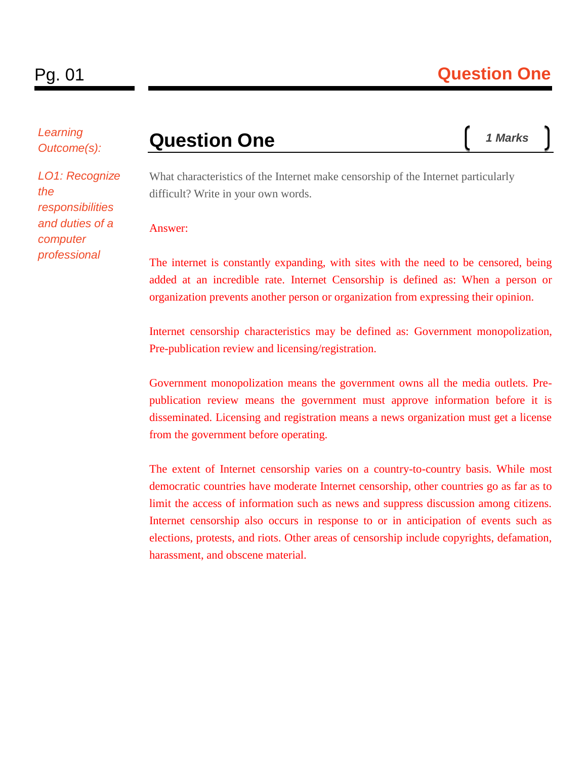*Learning Outcome(s):*

*LO1: Recognize the responsibilities and duties of a computer professional*

### **Question One**

What characteristics of the Internet make censorship of the Internet particularly difficult? Write in your own words.

#### Answer:

The internet is constantly expanding, with sites with the need to be censored, being added at an incredible rate. Internet Censorship is defined as: When a person or organization prevents another person or organization from expressing their opinion.

Internet censorship characteristics may be defined as: Government monopolization, Pre-publication review and licensing/registration.

Government monopolization means the government owns all the media outlets. Prepublication review means the government must approve information before it is disseminated. Licensing and registration means a news organization must get a license from the government before operating.

The extent of Internet censorship varies on a country-to-country basis. While most democratic countries have moderate Internet censorship, other countries go as far as to limit the access of information such as news and suppress discussion among citizens. Internet censorship also occurs in response to or in anticipation of events such as elections, protests, and riots. Other areas of censorship include copyrights, defamation, harassment, and obscene material.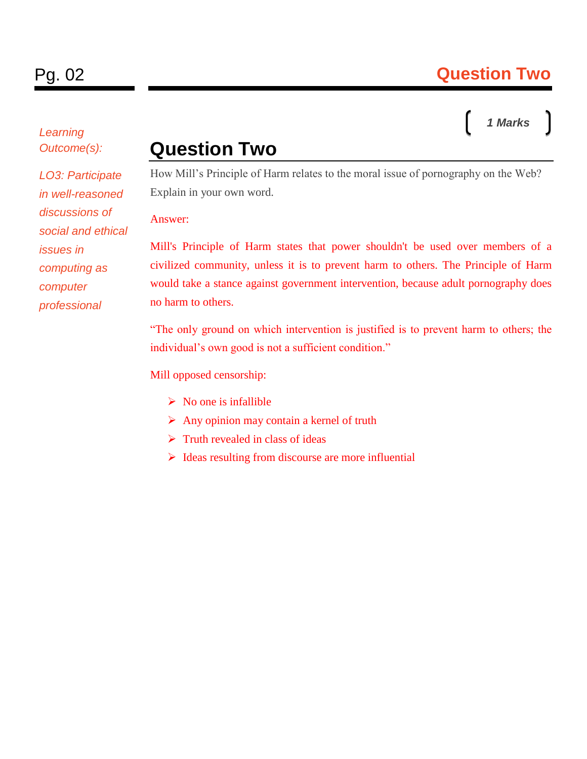#### *Learning Outcome(s):*

*LO3: Participate in well-reasoned discussions of social and ethical issues in computing as computer professional*

#### **Question Two**

How Mill's Principle of Harm relates to the moral issue of pornography on the Web? Explain in your own word.

#### Answer:

Mill's Principle of Harm states that power shouldn't be used over members of a civilized community, unless it is to prevent harm to others. The Principle of Harm would take a stance against government intervention, because adult pornography does no harm to others.

"The only ground on which intervention is justified is to prevent harm to others; the individual's own good is not a sufficient condition."

Mill opposed censorship:

- $\triangleright$  No one is infallible
- $\triangleright$  Any opinion may contain a kernel of truth
- $\triangleright$  Truth revealed in class of ideas
- $\triangleright$  Ideas resulting from discourse are more influential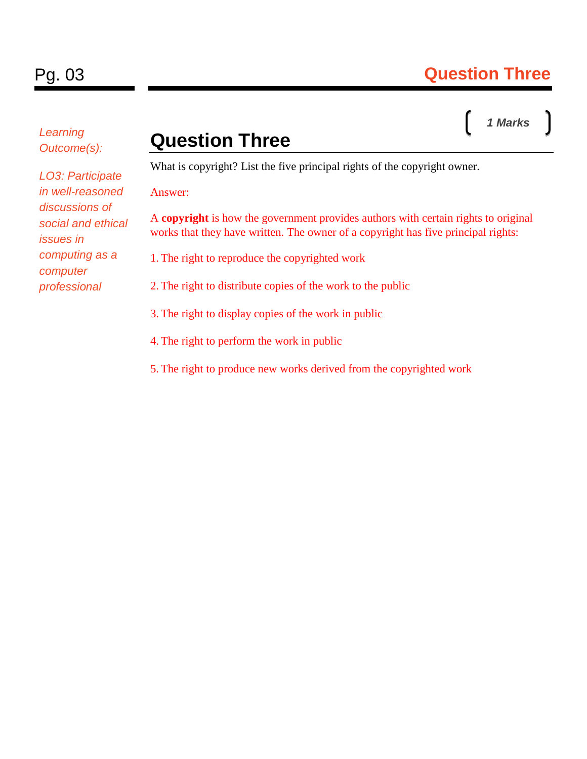*Learning Outcome(s):*

## **Question Three**

What is copyright? List the five principal rights of the copyright owner.

Answer:

A **copyright** is how the government provides authors with certain rights to original works that they have written. The owner of a copyright has five principal rights:

1. The right to reproduce the copyrighted work

2. The right to distribute copies of the work to the public

3. The right to display copies of the work in public

4. The right to perform the work in public

5. The right to produce new works derived from the copyrighted work

*LO3: Participate in well-reasoned discussions of social and ethical issues in computing as a computer professional*